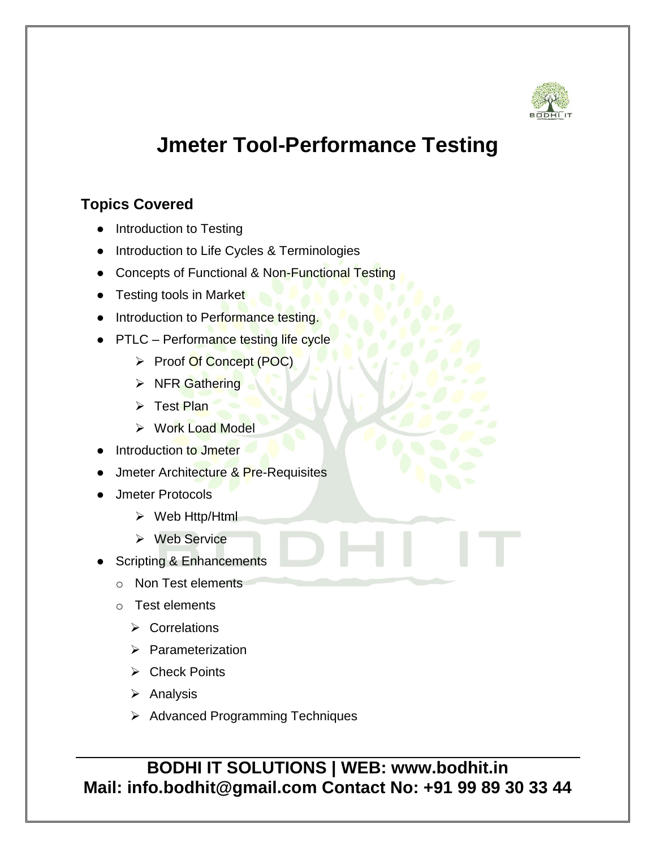

## **Jmeter Tool-Performance Testing**

## **Topics Covered**

- Introduction to Testing
- Introduction to Life Cycles & Terminologies
- Concepts of Functional & Non-Functional Testing
- Testing tools in Market
- Introduction to Performance testing.
- PTLC Performance testing life cycle
	- ▶ Proof Of Concept (POC)
	- $\triangleright$  NFR Gathering
	- $\triangleright$  Test Plan
	- **▶ Work Load Model**
- **Introduction to Jmeter**
- **Jmeter Architecture & Pre-Requisites**
- Jmeter Protocols
	- Web Http/Html
	- $\triangleright$  Web Service
- **Scripting & Enhancements** 
	- o Non Test elements
	- o Test elements
		- $\triangleright$  Correlations
		- $\triangleright$  Parameterization
		- $\triangleright$  Check Points
		- $\triangleright$  Analysis
		- $\triangleright$  Advanced Programming Techniques

## **BODHI IT SOLUTIONS | WEB: www.bodhit.in Mail: info.bodhit@gmail.com Contact No: +91 99 89 30 33 44**